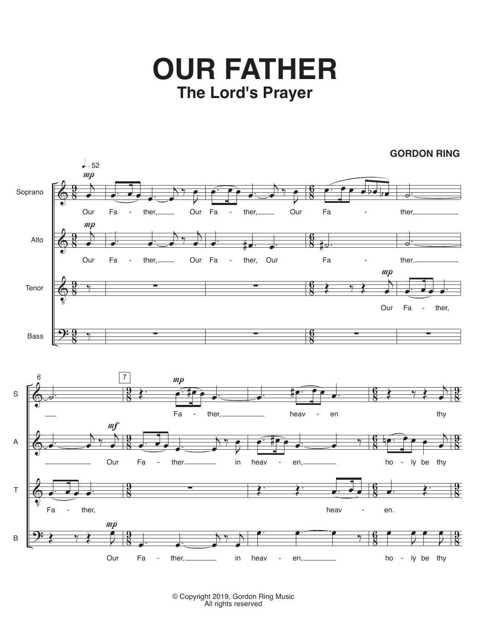## **OUR FATHER The Lord's Prayer**



© Copyright 2019, Gordon Ring Music All rights reserved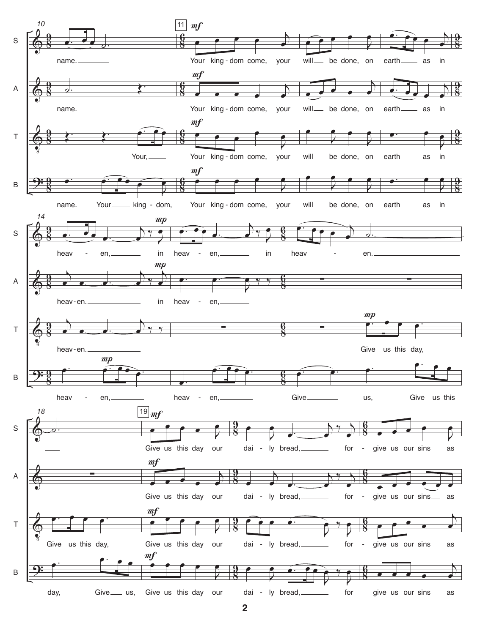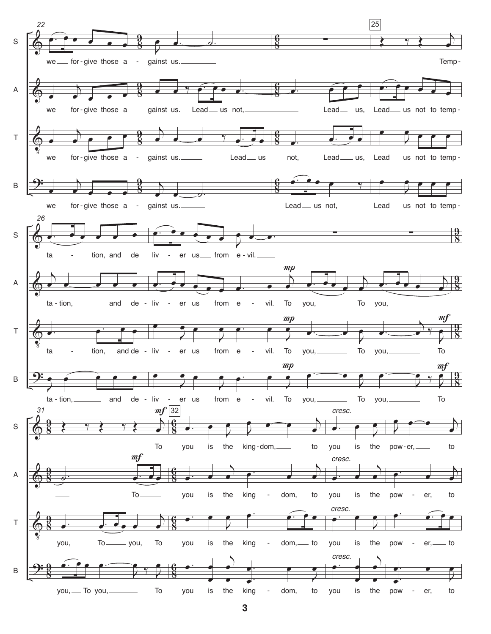

**3**